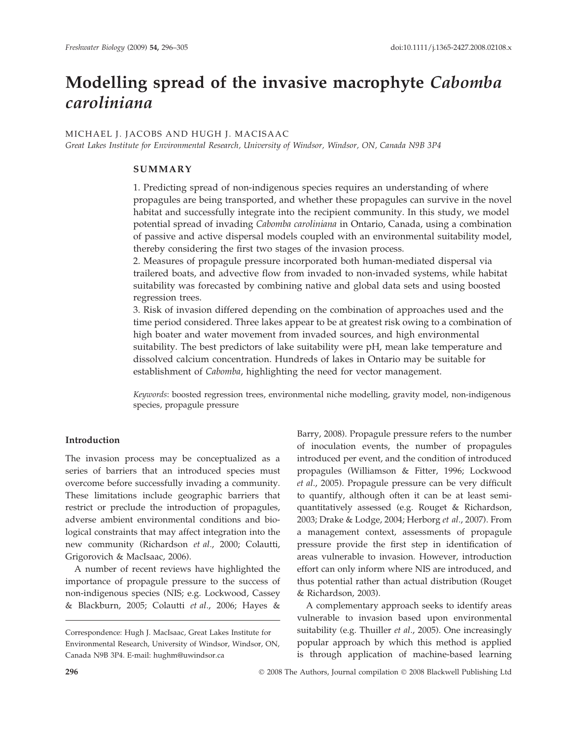# Modelling spread of the invasive macrophyte Cabomba caroliniana

MICHAEL J. JACOBS AND HUGH J. MACISAAC

Great Lakes Institute for Environmental Research, University of Windsor, Windsor, ON, Canada N9B 3P4

# SUMMARY

1. Predicting spread of non-indigenous species requires an understanding of where propagules are being transported, and whether these propagules can survive in the novel habitat and successfully integrate into the recipient community. In this study, we model potential spread of invading Cabomba caroliniana in Ontario, Canada, using a combination of passive and active dispersal models coupled with an environmental suitability model, thereby considering the first two stages of the invasion process.

2. Measures of propagule pressure incorporated both human-mediated dispersal via trailered boats, and advective flow from invaded to non-invaded systems, while habitat suitability was forecasted by combining native and global data sets and using boosted regression trees.

3. Risk of invasion differed depending on the combination of approaches used and the time period considered. Three lakes appear to be at greatest risk owing to a combination of high boater and water movement from invaded sources, and high environmental suitability. The best predictors of lake suitability were pH, mean lake temperature and dissolved calcium concentration. Hundreds of lakes in Ontario may be suitable for establishment of Cabomba, highlighting the need for vector management.

Keywords: boosted regression trees, environmental niche modelling, gravity model, non-indigenous species, propagule pressure

# Introduction

The invasion process may be conceptualized as a series of barriers that an introduced species must overcome before successfully invading a community. These limitations include geographic barriers that restrict or preclude the introduction of propagules, adverse ambient environmental conditions and biological constraints that may affect integration into the new community (Richardson et al., 2000; Colautti, Grigorovich & MacIsaac, 2006).

A number of recent reviews have highlighted the importance of propagule pressure to the success of non-indigenous species (NIS; e.g. Lockwood, Cassey & Blackburn, 2005; Colautti et al., 2006; Hayes & Barry, 2008). Propagule pressure refers to the number of inoculation events, the number of propagules introduced per event, and the condition of introduced propagules (Williamson & Fitter, 1996; Lockwood et al., 2005). Propagule pressure can be very difficult to quantify, although often it can be at least semiquantitatively assessed (e.g. Rouget & Richardson, 2003; Drake & Lodge, 2004; Herborg et al., 2007). From a management context, assessments of propagule pressure provide the first step in identification of areas vulnerable to invasion. However, introduction effort can only inform where NIS are introduced, and thus potential rather than actual distribution (Rouget & Richardson, 2003).

A complementary approach seeks to identify areas vulnerable to invasion based upon environmental suitability (e.g. Thuiller et al., 2005). One increasingly popular approach by which this method is applied is through application of machine-based learning

Correspondence: Hugh J. MacIsaac, Great Lakes Institute for Environmental Research, University of Windsor, Windsor, ON, Canada N9B 3P4. E-mail: hughm@uwindsor.ca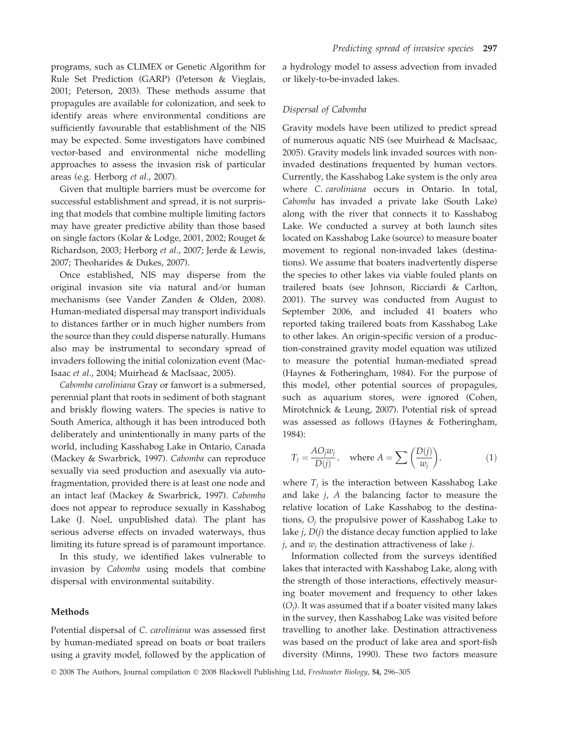programs, such as CLIMEX or Genetic Algorithm for Rule Set Prediction (GARP) (Peterson & Vieglais, 2001; Peterson, 2003). These methods assume that propagules are available for colonization, and seek to identify areas where environmental conditions are sufficiently favourable that establishment of the NIS may be expected. Some investigators have combined vector-based and environmental niche modelling approaches to assess the invasion risk of particular areas (e.g. Herborg et al., 2007).

Given that multiple barriers must be overcome for successful establishment and spread, it is not surprising that models that combine multiple limiting factors may have greater predictive ability than those based on single factors (Kolar & Lodge, 2001, 2002; Rouget & Richardson, 2003; Herborg et al., 2007; Jerde & Lewis, 2007; Theoharides & Dukes, 2007).

Once established, NIS may disperse from the original invasion site via natural and⁄or human mechanisms (see Vander Zanden & Olden, 2008). Human-mediated dispersal may transport individuals to distances farther or in much higher numbers from the source than they could disperse naturally. Humans also may be instrumental to secondary spread of invaders following the initial colonization event (Mac-Isaac et al., 2004; Muirhead & MacIsaac, 2005).

Cabomba caroliniana Gray or fanwort is a submersed, perennial plant that roots in sediment of both stagnant and briskly flowing waters. The species is native to South America, although it has been introduced both deliberately and unintentionally in many parts of the world, including Kasshabog Lake in Ontario, Canada (Mackey & Swarbrick, 1997). Cabomba can reproduce sexually via seed production and asexually via autofragmentation, provided there is at least one node and an intact leaf (Mackey & Swarbrick, 1997). Cabomba does not appear to reproduce sexually in Kasshabog Lake (J. Noel, unpublished data). The plant has serious adverse effects on invaded waterways, thus limiting its future spread is of paramount importance.

In this study, we identified lakes vulnerable to invasion by Cabomba using models that combine dispersal with environmental suitability.

# Methods

Potential dispersal of C. caroliniana was assessed first by human-mediated spread on boats or boat trailers using a gravity model, followed by the application of a hydrology model to assess advection from invaded or likely-to-be-invaded lakes.

### Dispersal of Cabomba

Gravity models have been utilized to predict spread of numerous aquatic NIS (see Muirhead & MacIsaac, 2005). Gravity models link invaded sources with noninvaded destinations frequented by human vectors. Currently, the Kasshabog Lake system is the only area where C. caroliniana occurs in Ontario. In total, Cabomba has invaded a private lake (South Lake) along with the river that connects it to Kasshabog Lake. We conducted a survey at both launch sites located on Kasshabog Lake (source) to measure boater movement to regional non-invaded lakes (destinations). We assume that boaters inadvertently disperse the species to other lakes via viable fouled plants on trailered boats (see Johnson, Ricciardi & Carlton, 2001). The survey was conducted from August to September 2006, and included 41 boaters who reported taking trailered boats from Kasshabog Lake to other lakes. An origin-specific version of a production-constrained gravity model equation was utilized to measure the potential human-mediated spread (Haynes & Fotheringham, 1984). For the purpose of this model, other potential sources of propagules, such as aquarium stores, were ignored (Cohen, Mirotchnick & Leung, 2007). Potential risk of spread was assessed as follows (Haynes & Fotheringham, 1984):

$$
T_j = \frac{AO_j w_j}{D(j)}, \quad \text{where } A = \sum \left(\frac{D(j)}{w_j}\right), \tag{1}
$$

where  $T_i$  is the interaction between Kasshabog Lake and lake  $j$ ,  $A$  the balancing factor to measure the relative location of Lake Kasshabog to the destinations,  $O_i$  the propulsive power of Kasshabog Lake to lake  $j$ ,  $D(j)$  the distance decay function applied to lake  $j$ , and  $w_i$  the destination attractiveness of lake  $j$ .

Information collected from the surveys identified lakes that interacted with Kasshabog Lake, along with the strength of those interactions, effectively measuring boater movement and frequency to other lakes  $(O<sub>i</sub>)$ . It was assumed that if a boater visited many lakes in the survey, then Kasshabog Lake was visited before travelling to another lake. Destination attractiveness was based on the product of lake area and sport-fish diversity (Minns, 1990). These two factors measure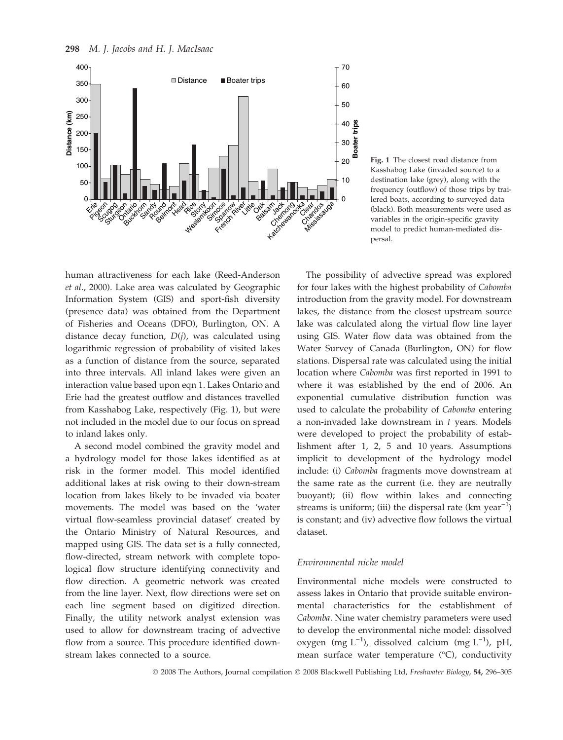

Fig. 1 The closest road distance from Kasshabog Lake (invaded source) to a destination lake (grey), along with the frequency (outflow) of those trips by trailered boats, according to surveyed data (black). Both measurements were used as variables in the origin-specific gravity model to predict human-mediated dispersal.

human attractiveness for each lake (Reed-Anderson et al., 2000). Lake area was calculated by Geographic Information System (GIS) and sport-fish diversity (presence data) was obtained from the Department of Fisheries and Oceans (DFO), Burlington, ON. A distance decay function,  $D(j)$ , was calculated using logarithmic regression of probability of visited lakes as a function of distance from the source, separated into three intervals. All inland lakes were given an interaction value based upon eqn 1. Lakes Ontario and Erie had the greatest outflow and distances travelled from Kasshabog Lake, respectively (Fig. 1), but were not included in the model due to our focus on spread to inland lakes only.

A second model combined the gravity model and a hydrology model for those lakes identified as at risk in the former model. This model identified additional lakes at risk owing to their down-stream location from lakes likely to be invaded via boater movements. The model was based on the 'water virtual flow-seamless provincial dataset' created by the Ontario Ministry of Natural Resources, and mapped using GIS. The data set is a fully connected, flow-directed, stream network with complete topological flow structure identifying connectivity and flow direction. A geometric network was created from the line layer. Next, flow directions were set on each line segment based on digitized direction. Finally, the utility network analyst extension was used to allow for downstream tracing of advective flow from a source. This procedure identified downstream lakes connected to a source.

The possibility of advective spread was explored for four lakes with the highest probability of Cabomba introduction from the gravity model. For downstream lakes, the distance from the closest upstream source lake was calculated along the virtual flow line layer using GIS. Water flow data was obtained from the Water Survey of Canada (Burlington, ON) for flow stations. Dispersal rate was calculated using the initial location where Cabomba was first reported in 1991 to where it was established by the end of 2006. An exponential cumulative distribution function was used to calculate the probability of Cabomba entering a non-invaded lake downstream in  $t$  years. Models were developed to project the probability of establishment after 1, 2, 5 and 10 years. Assumptions implicit to development of the hydrology model include: (i) Cabomba fragments move downstream at the same rate as the current (i.e. they are neutrally buoyant); (ii) flow within lakes and connecting streams is uniform; (iii) the dispersal rate  $(km year^{-1})$ is constant; and (iv) advective flow follows the virtual dataset.

#### Environmental niche model

Environmental niche models were constructed to assess lakes in Ontario that provide suitable environmental characteristics for the establishment of Cabomba. Nine water chemistry parameters were used to develop the environmental niche model: dissolved oxygen (mg  $L^{-1}$ ), dissolved calcium (mg  $L^{-1}$ ), pH, mean surface water temperature  $(^{\circ}C)$ , conductivity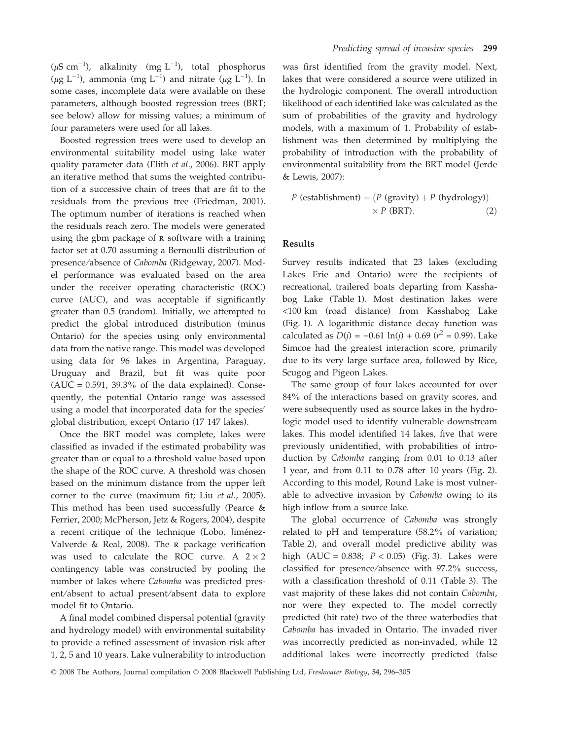( $\mu$ S cm<sup>-1</sup>), alkalinity (mg L<sup>-1</sup>), total phosphorus ( $\mu$ g L<sup>-1</sup>), ammonia (mg L<sup>-1</sup>) and nitrate ( $\mu$ g L<sup>-1</sup>). In some cases, incomplete data were available on these parameters, although boosted regression trees (BRT; see below) allow for missing values; a minimum of four parameters were used for all lakes.

Boosted regression trees were used to develop an environmental suitability model using lake water quality parameter data (Elith et al., 2006). BRT apply an iterative method that sums the weighted contribution of a successive chain of trees that are fit to the residuals from the previous tree (Friedman, 2001). The optimum number of iterations is reached when the residuals reach zero. The models were generated using the gbm package of R software with a training factor set at 0.70 assuming a Bernoulli distribution of presence ⁄absence of Cabomba (Ridgeway, 2007). Model performance was evaluated based on the area under the receiver operating characteristic (ROC) curve (AUC), and was acceptable if significantly greater than 0.5 (random). Initially, we attempted to predict the global introduced distribution (minus Ontario) for the species using only environmental data from the native range. This model was developed using data for 96 lakes in Argentina, Paraguay, Uruguay and Brazil, but fit was quite poor  $(AUC = 0.591, 39.3\%$  of the data explained). Consequently, the potential Ontario range was assessed using a model that incorporated data for the species' global distribution, except Ontario (17 147 lakes).

Once the BRT model was complete, lakes were classified as invaded if the estimated probability was greater than or equal to a threshold value based upon the shape of the ROC curve. A threshold was chosen based on the minimum distance from the upper left corner to the curve (maximum fit; Liu et al., 2005). This method has been used successfully (Pearce  $\&$ Ferrier, 2000; McPherson, Jetz & Rogers, 2004), despite a recent critique of the technique (Lobo, Jiménez-Valverde & Real, 2008). The R package verification was used to calculate the ROC curve. A  $2 \times 2$ contingency table was constructed by pooling the number of lakes where Cabomba was predicted present⁄absent to actual present⁄absent data to explore model fit to Ontario.

A final model combined dispersal potential (gravity and hydrology model) with environmental suitability to provide a refined assessment of invasion risk after 1, 2, 5 and 10 years. Lake vulnerability to introduction was first identified from the gravity model. Next, lakes that were considered a source were utilized in the hydrologic component. The overall introduction likelihood of each identified lake was calculated as the sum of probabilities of the gravity and hydrology models, with a maximum of 1. Probability of establishment was then determined by multiplying the probability of introduction with the probability of environmental suitability from the BRT model (Jerde & Lewis, 2007):

$$
P (establishment) = (P (gravity) + P (hydrology))
$$

$$
\times P (BRT). \tag{2}
$$

#### Results

Survey results indicated that 23 lakes (excluding Lakes Erie and Ontario) were the recipients of recreational, trailered boats departing from Kasshabog Lake (Table 1). Most destination lakes were <100 km (road distance) from Kasshabog Lake (Fig. 1). A logarithmic distance decay function was calculated as  $D(j) = -0.61 \ln(j) + 0.69 (r^2 = 0.99)$ . Lake Simcoe had the greatest interaction score, primarily due to its very large surface area, followed by Rice, Scugog and Pigeon Lakes.

The same group of four lakes accounted for over 84% of the interactions based on gravity scores, and were subsequently used as source lakes in the hydrologic model used to identify vulnerable downstream lakes. This model identified 14 lakes, five that were previously unidentified, with probabilities of introduction by Cabomba ranging from 0.01 to 0.13 after 1 year, and from 0.11 to 0.78 after 10 years (Fig. 2). According to this model, Round Lake is most vulnerable to advective invasion by Cabomba owing to its high inflow from a source lake.

The global occurrence of Cabomba was strongly related to pH and temperature (58.2% of variation; Table 2), and overall model predictive ability was high  $(AUC = 0.838; P < 0.05)$  (Fig. 3). Lakes were classified for presence ⁄absence with 97.2% success, with a classification threshold of 0.11 (Table 3). The vast majority of these lakes did not contain Cabomba, nor were they expected to. The model correctly predicted (hit rate) two of the three waterbodies that Cabomba has invaded in Ontario. The invaded river was incorrectly predicted as non-invaded, while 12 additional lakes were incorrectly predicted (false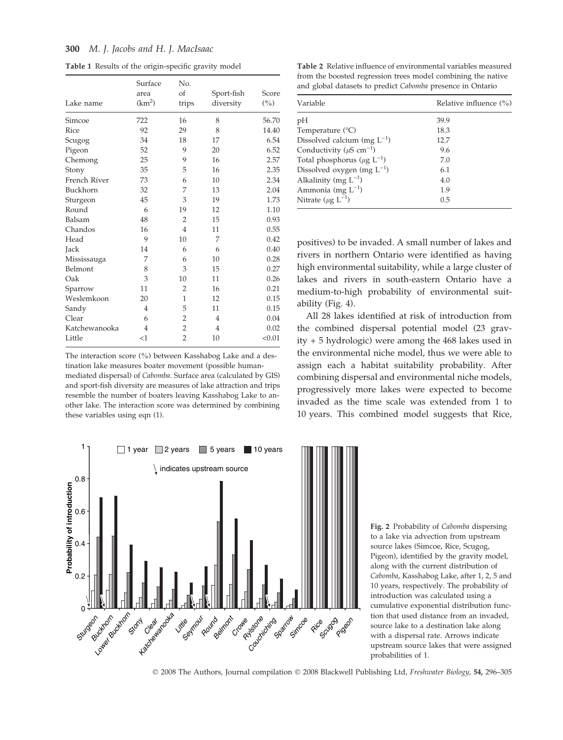| Lake name     | Surface<br>area<br>(km <sup>2</sup> ) | No.<br>of<br>trips | Sport-fish<br>diversity | Score<br>$(\%)$ |
|---------------|---------------------------------------|--------------------|-------------------------|-----------------|
| Simcoe        | 722                                   | 16                 | 8                       | 56.70           |
| Rice          | 92                                    | 29                 | 8                       | 14.40           |
| Scugog        | 34                                    | 18                 | 17                      | 6.54            |
| Pigeon        | 52                                    | 9                  | 20                      | 6.52            |
| Chemong       | 25                                    | 9                  | 16                      | 2.57            |
| Stony         | 35                                    | 5                  | 16                      | 2.35            |
| French River  | 73                                    | 6                  | 10                      | 2.34            |
| Buckhorn      | 32                                    | 7                  | 13                      | 2.04            |
| Sturgeon      | 45                                    | 3                  | 19                      | 1.73            |
| Round         | 6                                     | 19                 | 12                      | 1.10            |
| Balsam        | 48                                    | $\overline{2}$     | 15                      | 0.93            |
| Chandos       | 16                                    | $\overline{4}$     | 11                      | 0.55            |
| Head          | 9                                     | 10                 | 7                       | 0.42            |
| Jack          | 14                                    | 6                  | 6                       | 0.40            |
| Mississauga   | 7                                     | 6                  | 10                      | 0.28            |
| Belmont       | 8                                     | 3                  | 15                      | 0.27            |
| Oak           | 3                                     | 10                 | 11                      | 0.26            |
| Sparrow       | 11                                    | $\overline{2}$     | 16                      | 0.21            |
| Weslemkoon    | 20                                    | 1                  | 12                      | 0.15            |
| Sandy         | $\overline{4}$                        | 5                  | 11                      | 0.15            |
| Clear         | 6                                     | $\overline{2}$     | 4                       | 0.04            |
| Katchewanooka | 4                                     | $\overline{2}$     | $\overline{4}$          | 0.02            |
| Little        | $<$ 1                                 | $\overline{2}$     | 10                      | < 0.01          |

The interaction score (%) between Kasshabog Lake and a destination lake measures boater movement (possible humanmediated dispersal) of Cabomba. Surface area (calculated by GIS) and sport-fish diversity are measures of lake attraction and trips resemble the number of boaters leaving Kasshabog Lake to another lake. The interaction score was determined by combining these variables using eqn (1).



| Variable                                     | Relative influence $(\% )$ |  |
|----------------------------------------------|----------------------------|--|
| pH                                           | 39.9                       |  |
| Temperature $(^{\circ}C)$                    | 18.3                       |  |
| Dissolved calcium (mg $L^{-1}$ )             | 12.7                       |  |
| Conductivity ( $\mu$ S cm <sup>-1</sup> )    | 9.6                        |  |
| Total phosphorus ( $\mu$ g L <sup>-1</sup> ) | 7.0                        |  |
| Dissolved oxygen (mg $L^{-1}$ )              | 6.1                        |  |
| Alkalinity (mg $L^{-1}$ )                    | 4.0                        |  |
| Ammonia (mg $L^{-1}$ )                       | 1.9                        |  |
| Nitrate ( $\mu$ g L <sup>-1</sup> )          | 0.5                        |  |

positives) to be invaded. A small number of lakes and rivers in northern Ontario were identified as having high environmental suitability, while a large cluster of lakes and rivers in south-eastern Ontario have a medium-to-high probability of environmental suitability (Fig. 4).

All 28 lakes identified at risk of introduction from the combined dispersal potential model (23 gravity + 5 hydrologic) were among the 468 lakes used in the environmental niche model, thus we were able to assign each a habitat suitability probability. After combining dispersal and environmental niche models, progressively more lakes were expected to become invaded as the time scale was extended from 1 to 10 years. This combined model suggests that Rice,



Fig. 2 Probability of Cabomba dispersing to a lake via advection from upstream source lakes (Simcoe, Rice, Scugog, Pigeon), identified by the gravity model, along with the current distribution of Cabomba, Kasshabog Lake, after 1, 2, 5 and 10 years, respectively. The probability of introduction was calculated using a cumulative exponential distribution function that used distance from an invaded, source lake to a destination lake along with a dispersal rate. Arrows indicate upstream source lakes that were assigned probabilities of 1.

© 2008 The Authors, Journal compilation © 2008 Blackwell Publishing Ltd, Freshwater Biology, 54, 296–305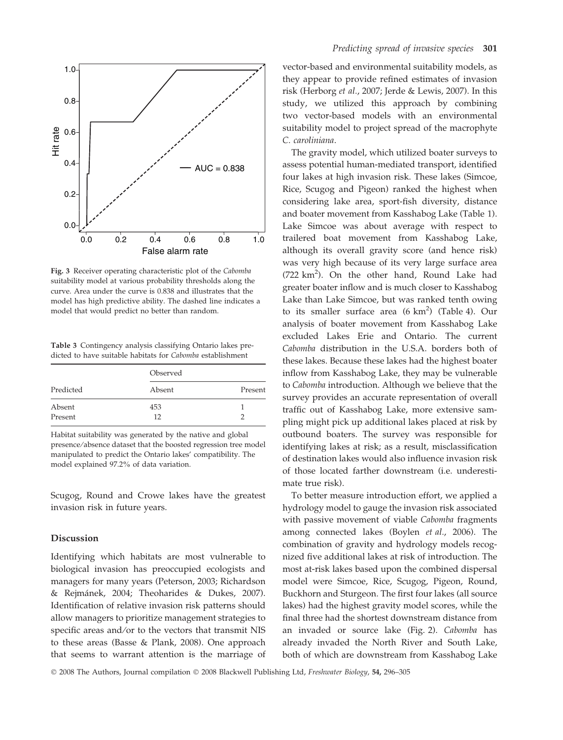

Fig. 3 Receiver operating characteristic plot of the Cabomba suitability model at various probability thresholds along the curve. Area under the curve is 0.838 and illustrates that the model has high predictive ability. The dashed line indicates a model that would predict no better than random.

Table 3 Contingency analysis classifying Ontario lakes predicted to have suitable habitats for Cabomba establishment

|           | Observed |         |
|-----------|----------|---------|
| Predicted | Absent   | Present |
| Absent    | 453      |         |
| Present   | 12       |         |

Habitat suitability was generated by the native and global presence ⁄ absence dataset that the boosted regression tree model manipulated to predict the Ontario lakes' compatibility. The model explained 97.2% of data variation.

Scugog, Round and Crowe lakes have the greatest invasion risk in future years.

## Discussion

Identifying which habitats are most vulnerable to biological invasion has preoccupied ecologists and managers for many years (Peterson, 2003; Richardson & Rejma´nek, 2004; Theoharides & Dukes, 2007). Identification of relative invasion risk patterns should allow managers to prioritize management strategies to specific areas and/or to the vectors that transmit NIS to these areas (Basse & Plank, 2008). One approach that seems to warrant attention is the marriage of vector-based and environmental suitability models, as they appear to provide refined estimates of invasion risk (Herborg et al., 2007; Jerde & Lewis, 2007). In this study, we utilized this approach by combining two vector-based models with an environmental suitability model to project spread of the macrophyte C. caroliniana.

The gravity model, which utilized boater surveys to assess potential human-mediated transport, identified four lakes at high invasion risk. These lakes (Simcoe, Rice, Scugog and Pigeon) ranked the highest when considering lake area, sport-fish diversity, distance and boater movement from Kasshabog Lake (Table 1). Lake Simcoe was about average with respect to trailered boat movement from Kasshabog Lake, although its overall gravity score (and hence risk) was very high because of its very large surface area  $(722 \text{ km}^2)$ . On the other hand, Round Lake had greater boater inflow and is much closer to Kasshabog Lake than Lake Simcoe, but was ranked tenth owing to its smaller surface area  $(6 \text{ km}^2)$  (Table 4). Our analysis of boater movement from Kasshabog Lake excluded Lakes Erie and Ontario. The current Cabomba distribution in the U.S.A. borders both of these lakes. Because these lakes had the highest boater inflow from Kasshabog Lake, they may be vulnerable to Cabomba introduction. Although we believe that the survey provides an accurate representation of overall traffic out of Kasshabog Lake, more extensive sampling might pick up additional lakes placed at risk by outbound boaters. The survey was responsible for identifying lakes at risk; as a result, misclassification of destination lakes would also influence invasion risk of those located farther downstream (i.e. underestimate true risk).

To better measure introduction effort, we applied a hydrology model to gauge the invasion risk associated with passive movement of viable Cabomba fragments among connected lakes (Boylen et al., 2006). The combination of gravity and hydrology models recognized five additional lakes at risk of introduction. The most at-risk lakes based upon the combined dispersal model were Simcoe, Rice, Scugog, Pigeon, Round, Buckhorn and Sturgeon. The first four lakes (all source lakes) had the highest gravity model scores, while the final three had the shortest downstream distance from an invaded or source lake (Fig. 2). Cabomba has already invaded the North River and South Lake, both of which are downstream from Kasshabog Lake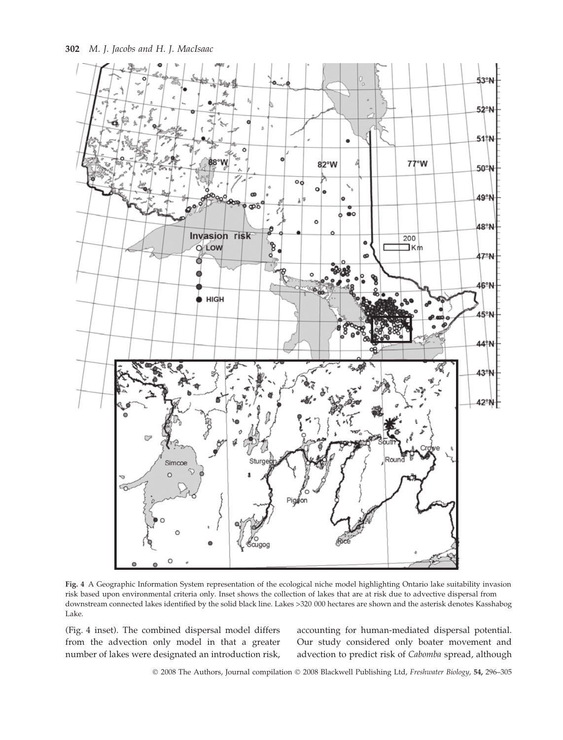302 M. J. Jacobs and H. J. MacIsaac



Fig. 4 A Geographic Information System representation of the ecological niche model highlighting Ontario lake suitability invasion risk based upon environmental criteria only. Inset shows the collection of lakes that are at risk due to advective dispersal from downstream connected lakes identified by the solid black line. Lakes >320 000 hectares are shown and the asterisk denotes Kasshabog Lake.

(Fig. 4 inset). The combined dispersal model differs from the advection only model in that a greater number of lakes were designated an introduction risk, accounting for human-mediated dispersal potential. Our study considered only boater movement and advection to predict risk of Cabomba spread, although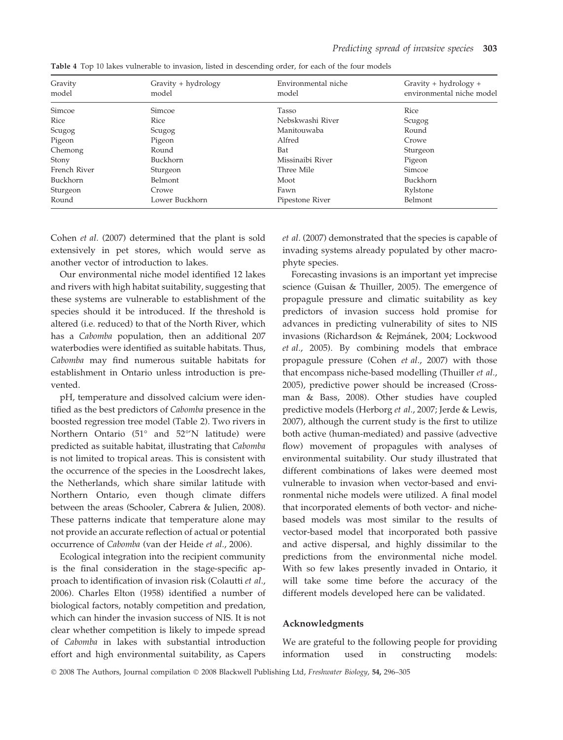| Gravity<br>model | Gravity + hydrology<br>model | Environmental niche<br>model | Gravity + $hydrology +$<br>environmental niche model |
|------------------|------------------------------|------------------------------|------------------------------------------------------|
| Simcoe           | Simcoe                       | Tasso                        | Rice                                                 |
| Rice             | Rice                         | Nebskwashi River             | Scugog                                               |
| Scugog           | Scugog                       | Manitouwaba                  | Round                                                |
| Pigeon           | Pigeon                       | Alfred                       | Crowe                                                |
| Chemong          | Round                        | Bat                          | Sturgeon                                             |
| Stony            | Buckhorn                     | Missinaibi River             | Pigeon                                               |
| French River     | Sturgeon                     | Three Mile                   | Simcoe                                               |
| Buckhorn         | Belmont                      | Moot                         | Buckhorn                                             |
| Sturgeon         | Crowe                        | Fawn                         | Rylstone                                             |
| Round            | Lower Buckhorn               | Pipestone River              | Belmont                                              |

Table 4 Top 10 lakes vulnerable to invasion, listed in descending order, for each of the four models

Cohen et al. (2007) determined that the plant is sold extensively in pet stores, which would serve as another vector of introduction to lakes.

Our environmental niche model identified 12 lakes and rivers with high habitat suitability, suggesting that these systems are vulnerable to establishment of the species should it be introduced. If the threshold is altered (i.e. reduced) to that of the North River, which has a Cabomba population, then an additional 207 waterbodies were identified as suitable habitats. Thus, Cabomba may find numerous suitable habitats for establishment in Ontario unless introduction is prevented.

pH, temperature and dissolved calcium were identified as the best predictors of Cabomba presence in the boosted regression tree model (Table 2). Two rivers in Northern Ontario  $(51^{\circ}$  and  $52^{\circ}$ 'N latitude) were predicted as suitable habitat, illustrating that Cabomba is not limited to tropical areas. This is consistent with the occurrence of the species in the Loosdrecht lakes, the Netherlands, which share similar latitude with Northern Ontario, even though climate differs between the areas (Schooler, Cabrera & Julien, 2008). These patterns indicate that temperature alone may not provide an accurate reflection of actual or potential occurrence of Cabomba (van der Heide et al., 2006).

Ecological integration into the recipient community is the final consideration in the stage-specific approach to identification of invasion risk (Colautti et al., 2006). Charles Elton (1958) identified a number of biological factors, notably competition and predation, which can hinder the invasion success of NIS. It is not clear whether competition is likely to impede spread of Cabomba in lakes with substantial introduction effort and high environmental suitability, as Capers et al. (2007) demonstrated that the species is capable of invading systems already populated by other macrophyte species.

Forecasting invasions is an important yet imprecise science (Guisan & Thuiller, 2005). The emergence of propagule pressure and climatic suitability as key predictors of invasion success hold promise for advances in predicting vulnerability of sites to NIS invasions (Richardson & Rejmánek, 2004; Lockwood et al., 2005). By combining models that embrace propagule pressure (Cohen et al., 2007) with those that encompass niche-based modelling (Thuiller et al., 2005), predictive power should be increased (Crossman & Bass, 2008). Other studies have coupled predictive models (Herborg et al., 2007; Jerde & Lewis, 2007), although the current study is the first to utilize both active (human-mediated) and passive (advective flow) movement of propagules with analyses of environmental suitability. Our study illustrated that different combinations of lakes were deemed most vulnerable to invasion when vector-based and environmental niche models were utilized. A final model that incorporated elements of both vector- and nichebased models was most similar to the results of vector-based model that incorporated both passive and active dispersal, and highly dissimilar to the predictions from the environmental niche model. With so few lakes presently invaded in Ontario, it will take some time before the accuracy of the different models developed here can be validated.

#### Acknowledgments

We are grateful to the following people for providing information used in constructing models: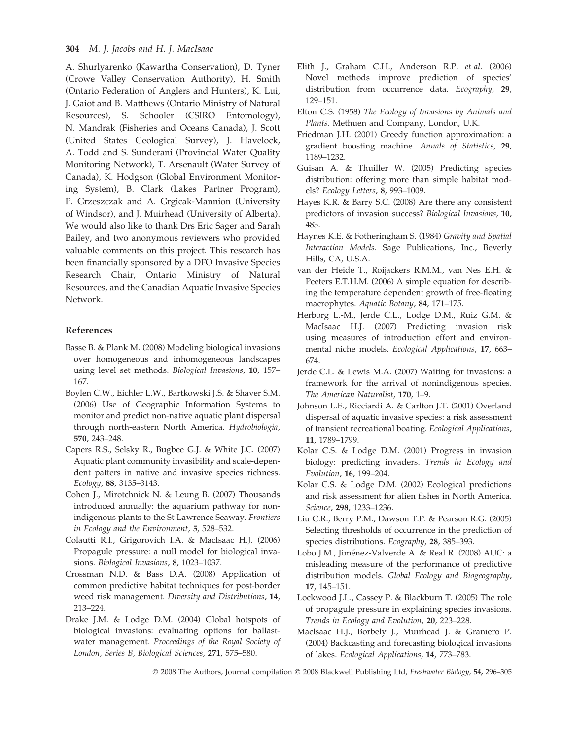A. Shurlyarenko (Kawartha Conservation), D. Tyner (Crowe Valley Conservation Authority), H. Smith (Ontario Federation of Anglers and Hunters), K. Lui, J. Gaiot and B. Matthews (Ontario Ministry of Natural Resources), S. Schooler (CSIRO Entomology), N. Mandrak (Fisheries and Oceans Canada), J. Scott (United States Geological Survey), J. Havelock, A. Todd and S. Sunderani (Provincial Water Quality Monitoring Network), T. Arsenault (Water Survey of Canada), K. Hodgson (Global Environment Monitoring System), B. Clark (Lakes Partner Program), P. Grzeszczak and A. Grgicak-Mannion (University of Windsor), and J. Muirhead (University of Alberta). We would also like to thank Drs Eric Sager and Sarah Bailey, and two anonymous reviewers who provided valuable comments on this project. This research has been financially sponsored by a DFO Invasive Species Research Chair, Ontario Ministry of Natural Resources, and the Canadian Aquatic Invasive Species Network.

## References

- Basse B. & Plank M. (2008) Modeling biological invasions over homogeneous and inhomogeneous landscapes using level set methods. Biological Invasions, 10, 157– 167.
- Boylen C.W., Eichler L.W., Bartkowski J.S. & Shaver S.M. (2006) Use of Geographic Information Systems to monitor and predict non-native aquatic plant dispersal through north-eastern North America. Hydrobiologia, 570, 243–248.
- Capers R.S., Selsky R., Bugbee G.J. & White J.C. (2007) Aquatic plant community invasibility and scale-dependent patters in native and invasive species richness. Ecology, 88, 3135–3143.
- Cohen J., Mirotchnick N. & Leung B. (2007) Thousands introduced annually: the aquarium pathway for nonindigenous plants to the St Lawrence Seaway. Frontiers in Ecology and the Environment, 5, 528–532.
- Colautti R.I., Grigorovich I.A. & MacIsaac H.J. (2006) Propagule pressure: a null model for biological invasions. Biological Invasions, 8, 1023–1037.
- Crossman N.D. & Bass D.A. (2008) Application of common predictive habitat techniques for post-border weed risk management. Diversity and Distributions, 14, 213–224.
- Drake J.M. & Lodge D.M. (2004) Global hotspots of biological invasions: evaluating options for ballastwater management. Proceedings of the Royal Society of London, Series B, Biological Sciences, 271, 575–580.
- Elith J., Graham C.H., Anderson R.P. et al. (2006) Novel methods improve prediction of species' distribution from occurrence data. Ecography, 29, 129–151.
- Elton C.S. (1958) The Ecology of Invasions by Animals and Plants. Methuen and Company, London, U.K.
- Friedman J.H. (2001) Greedy function approximation: a gradient boosting machine. Annals of Statistics, 29, 1189–1232.
- Guisan A. & Thuiller W. (2005) Predicting species distribution: offering more than simple habitat models? Ecology Letters, 8, 993–1009.
- Hayes K.R. & Barry S.C. (2008) Are there any consistent predictors of invasion success? Biological Invasions, 10, 483.
- Haynes K.E. & Fotheringham S. (1984) Gravity and Spatial Interaction Models. Sage Publications, Inc., Beverly Hills, CA, U.S.A.
- van der Heide T., Roijackers R.M.M., van Nes E.H. & Peeters E.T.H.M. (2006) A simple equation for describing the temperature dependent growth of free-floating macrophytes. Aquatic Botany, 84, 171–175.
- Herborg L.-M., Jerde C.L., Lodge D.M., Ruiz G.M. & MacIsaac H.J. (2007) Predicting invasion risk using measures of introduction effort and environmental niche models. Ecological Applications, 17, 663– 674.
- Jerde C.L. & Lewis M.A. (2007) Waiting for invasions: a framework for the arrival of nonindigenous species. The American Naturalist, 170, 1–9.
- Johnson L.E., Ricciardi A. & Carlton J.T. (2001) Overland dispersal of aquatic invasive species: a risk assessment of transient recreational boating. Ecological Applications, 11, 1789–1799.
- Kolar C.S. & Lodge D.M. (2001) Progress in invasion biology: predicting invaders. Trends in Ecology and Evolution, 16, 199–204.
- Kolar C.S. & Lodge D.M. (2002) Ecological predictions and risk assessment for alien fishes in North America. Science, 298, 1233–1236.
- Liu C.R., Berry P.M., Dawson T.P. & Pearson R.G. (2005) Selecting thresholds of occurrence in the prediction of species distributions. Ecography, 28, 385–393.
- Lobo J.M., Jiménez-Valverde A. & Real R. (2008) AUC: a misleading measure of the performance of predictive distribution models. Global Ecology and Biogeography, 17, 145–151.
- Lockwood J.L., Cassey P. & Blackburn T. (2005) The role of propagule pressure in explaining species invasions. Trends in Ecology and Evolution, 20, 223–228.
- Maclsaac H.J., Borbely J., Muirhead J. & Graniero P. (2004) Backcasting and forecasting biological invasions of lakes. Ecological Applications, 14, 773–783.